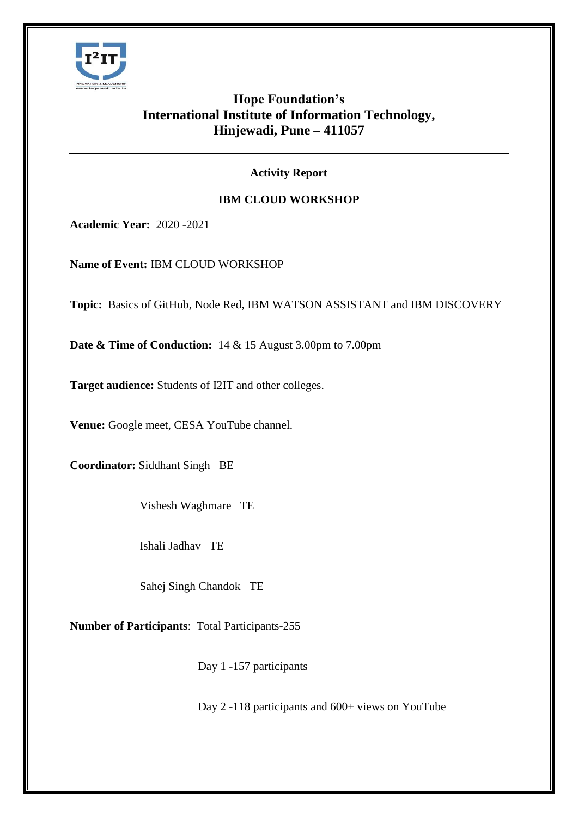

# **Hope Foundation's International Institute of Information Technology, Hinjewadi, Pune – 411057**

### **Activity Report**

## **IBM CLOUD WORKSHOP**

**Academic Year:** 2020 -2021

**Name of Event:** IBM CLOUD WORKSHOP

**Topic:** Basics of GitHub, Node Red, IBM WATSON ASSISTANT and IBM DISCOVERY

**Date & Time of Conduction:** 14 & 15 August 3.00pm to 7.00pm

**Target audience:** Students of I2IT and other colleges.

**Venue:** Google meet, CESA YouTube channel.

**Coordinator:** Siddhant Singh BE

Vishesh Waghmare TE

Ishali Jadhav TE

Sahej Singh Chandok TE

**Number of Participants**: Total Participants-255

Day 1 -157 participants

Day 2 -118 participants and 600+ views on YouTube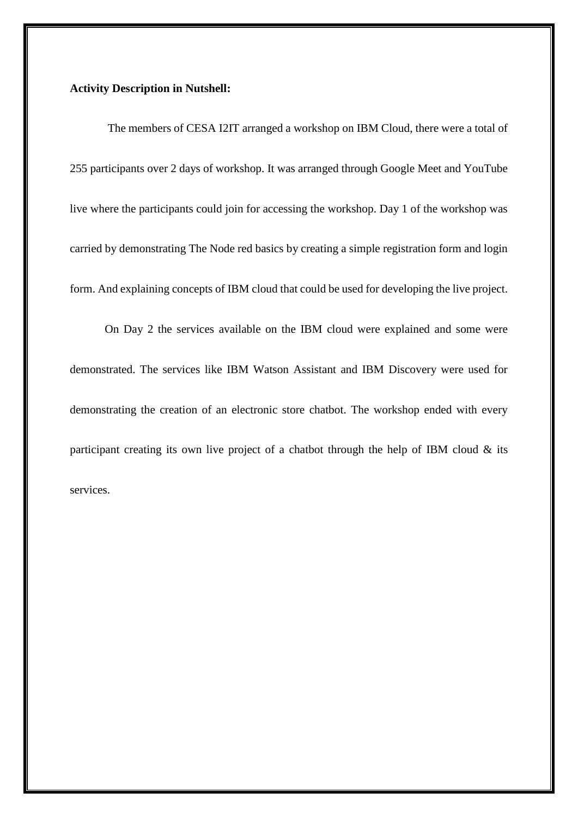### **Activity Description in Nutshell:**

The members of CESA I2IT arranged a workshop on IBM Cloud, there were a total of 255 participants over 2 days of workshop. It was arranged through Google Meet and YouTube live where the participants could join for accessing the workshop. Day 1 of the workshop was carried by demonstrating The Node red basics by creating a simple registration form and login form. And explaining concepts of IBM cloud that could be used for developing the live project.

On Day 2 the services available on the IBM cloud were explained and some were demonstrated. The services like IBM Watson Assistant and IBM Discovery were used for demonstrating the creation of an electronic store chatbot. The workshop ended with every participant creating its own live project of a chatbot through the help of IBM cloud & its services.